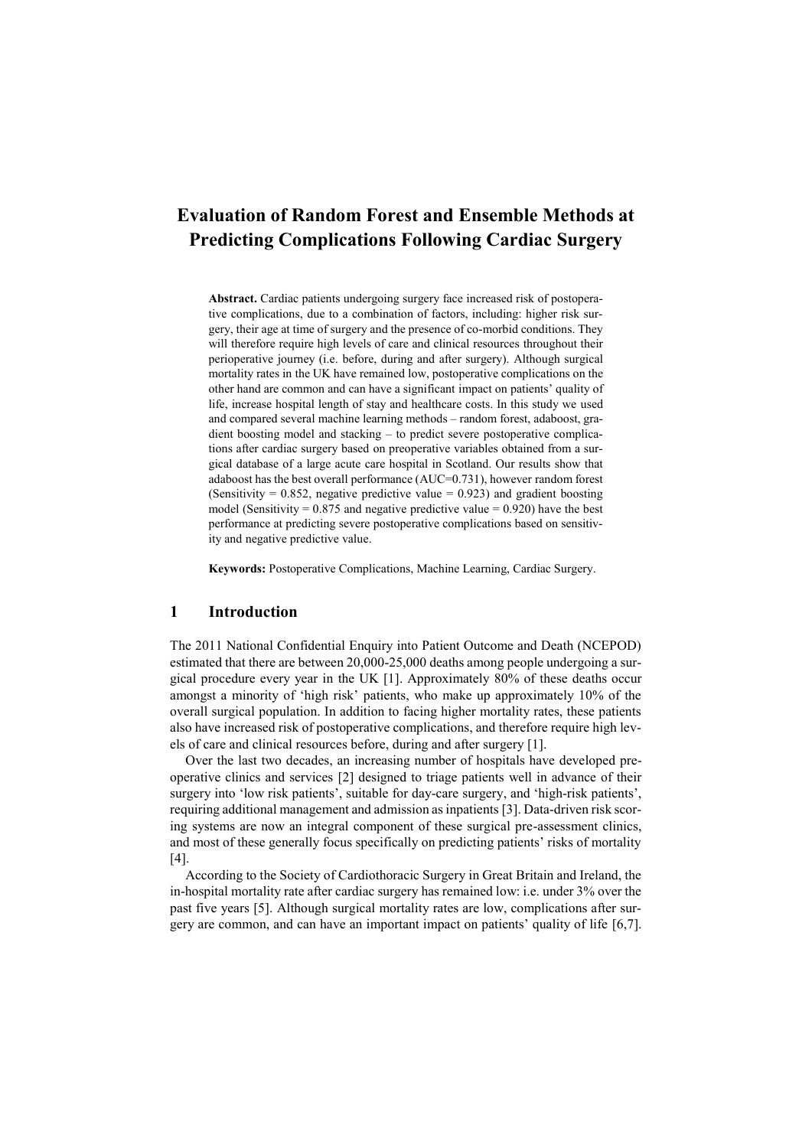# **Evaluation of Random Forest and Ensemble Methods at Predicting Complications Following Cardiac Surgery**

**Abstract.** Cardiac patients undergoing surgery face increased risk of postoperative complications, due to a combination of factors, including: higher risk surgery, their age at time of surgery and the presence of co-morbid conditions. They will therefore require high levels of care and clinical resources throughout their perioperative journey (i.e. before, during and after surgery). Although surgical mortality rates in the UK have remained low, postoperative complications on the other hand are common and can have a significant impact on patients' quality of life, increase hospital length of stay and healthcare costs. In this study we used and compared several machine learning methods – random forest, adaboost, gradient boosting model and stacking – to predict severe postoperative complications after cardiac surgery based on preoperative variables obtained from a surgical database of a large acute care hospital in Scotland. Our results show that adaboost has the best overall performance (AUC=0.731), however random forest (Sensitivity =  $0.852$ , negative predictive value =  $0.923$ ) and gradient boosting model (Sensitivity =  $0.875$  and negative predictive value =  $0.920$ ) have the best performance at predicting severe postoperative complications based on sensitivity and negative predictive value.

**Keywords:** Postoperative Complications, Machine Learning, Cardiac Surgery.

### **1 Introduction**

The 2011 National Confidential Enquiry into Patient Outcome and Death (NCEPOD) estimated that there are between 20,000-25,000 deaths among people undergoing a surgical procedure every year in the UK [1]. Approximately 80% of these deaths occur amongst a minority of 'high risk' patients, who make up approximately 10% of the overall surgical population. In addition to facing higher mortality rates, these patients also have increased risk of postoperative complications, and therefore require high levels of care and clinical resources before, during and after surgery [1].

Over the last two decades, an increasing number of hospitals have developed preoperative clinics and services [2] designed to triage patients well in advance of their surgery into 'low risk patients', suitable for day-care surgery, and 'high-risk patients', requiring additional management and admission as inpatients [3]. Data-driven risk scoring systems are now an integral component of these surgical pre-assessment clinics, and most of these generally focus specifically on predicting patients' risks of mortality [4].

According to the Society of Cardiothoracic Surgery in Great Britain and Ireland, the in-hospital mortality rate after cardiac surgery has remained low: i.e. under 3% over the past five years [5]. Although surgical mortality rates are low, complications after surgery are common, and can have an important impact on patients' quality of life [6,7].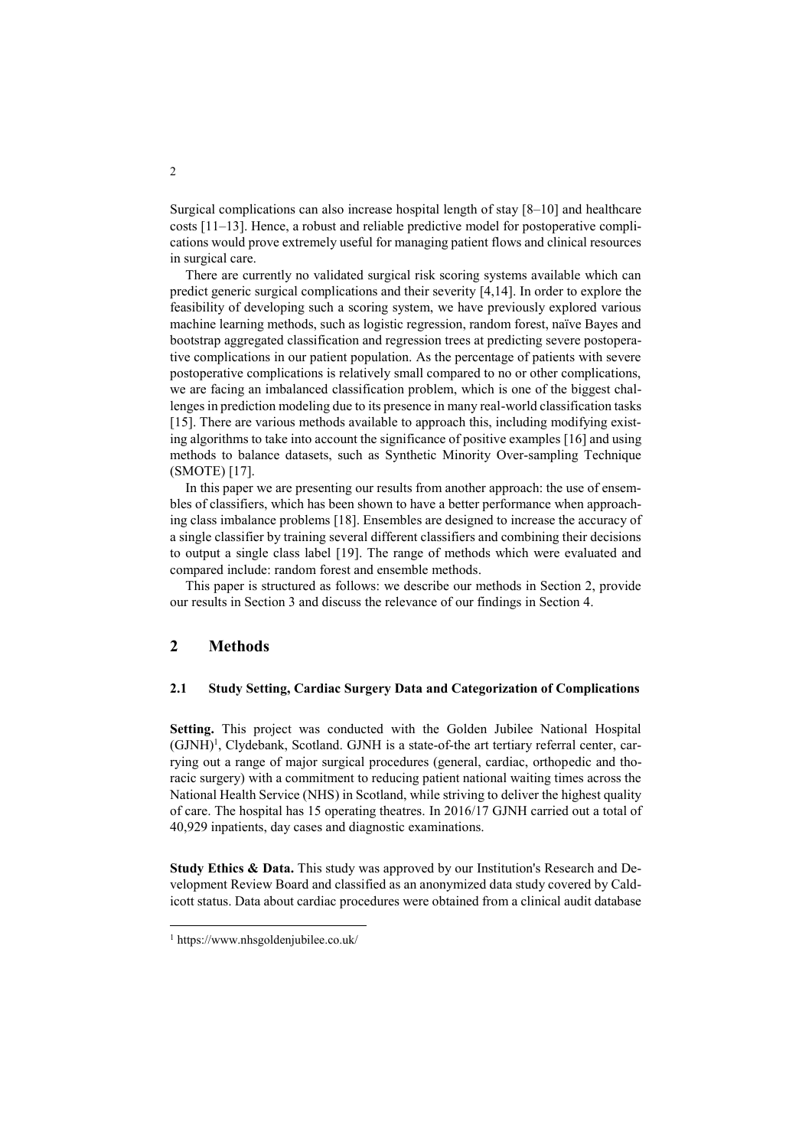Surgical complications can also increase hospital length of stay [8–10] and healthcare costs [11–13]. Hence, a robust and reliable predictive model for postoperative complications would prove extremely useful for managing patient flows and clinical resources in surgical care.

There are currently no validated surgical risk scoring systems available which can predict generic surgical complications and their severity [4,14]. In order to explore the feasibility of developing such a scoring system, we have previously explored various machine learning methods, such as logistic regression, random forest, naïve Bayes and bootstrap aggregated classification and regression trees at predicting severe postoperative complications in our patient population. As the percentage of patients with severe postoperative complications is relatively small compared to no or other complications, we are facing an imbalanced classification problem, which is one of the biggest challenges in prediction modeling due to its presence in many real-world classification tasks [15]. There are various methods available to approach this, including modifying existing algorithms to take into account the significance of positive examples [16] and using methods to balance datasets, such as Synthetic Minority Over-sampling Technique (SMOTE) [17].

In this paper we are presenting our results from another approach: the use of ensembles of classifiers, which has been shown to have a better performance when approaching class imbalance problems [18]. Ensembles are designed to increase the accuracy of a single classifier by training several different classifiers and combining their decisions to output a single class label [19]. The range of methods which were evaluated and compared include: random forest and ensemble methods.

This paper is structured as follows: we describe our methods in Section 2, provide our results in Section 3 and discuss the relevance of our findings in Section 4.

## **2 Methods**

#### **2.1 Study Setting, Cardiac Surgery Data and Categorization of Complications**

**Setting.** This project was conducted with the Golden Jubilee National Hospital (GJNH)<sup>1</sup>, Clydebank, Scotland. GJNH is a state-of-the art tertiary referral center, carrying out a range of major surgical procedures (general, cardiac, orthopedic and thoracic surgery) with a commitment to reducing patient national waiting times across the National Health Service (NHS) in Scotland, while striving to deliver the highest quality of care. The hospital has 15 operating theatres. In 2016/17 GJNH carried out a total of 40,929 inpatients, day cases and diagnostic examinations.

**Study Ethics & Data.** This study was approved by our Institution's Research and Development Review Board and classified as an anonymized data study covered by Caldicott status. Data about cardiac procedures were obtained from a clinical audit database

 $\overline{a}$ 

2

<sup>1</sup> https://www.nhsgoldenjubilee.co.uk/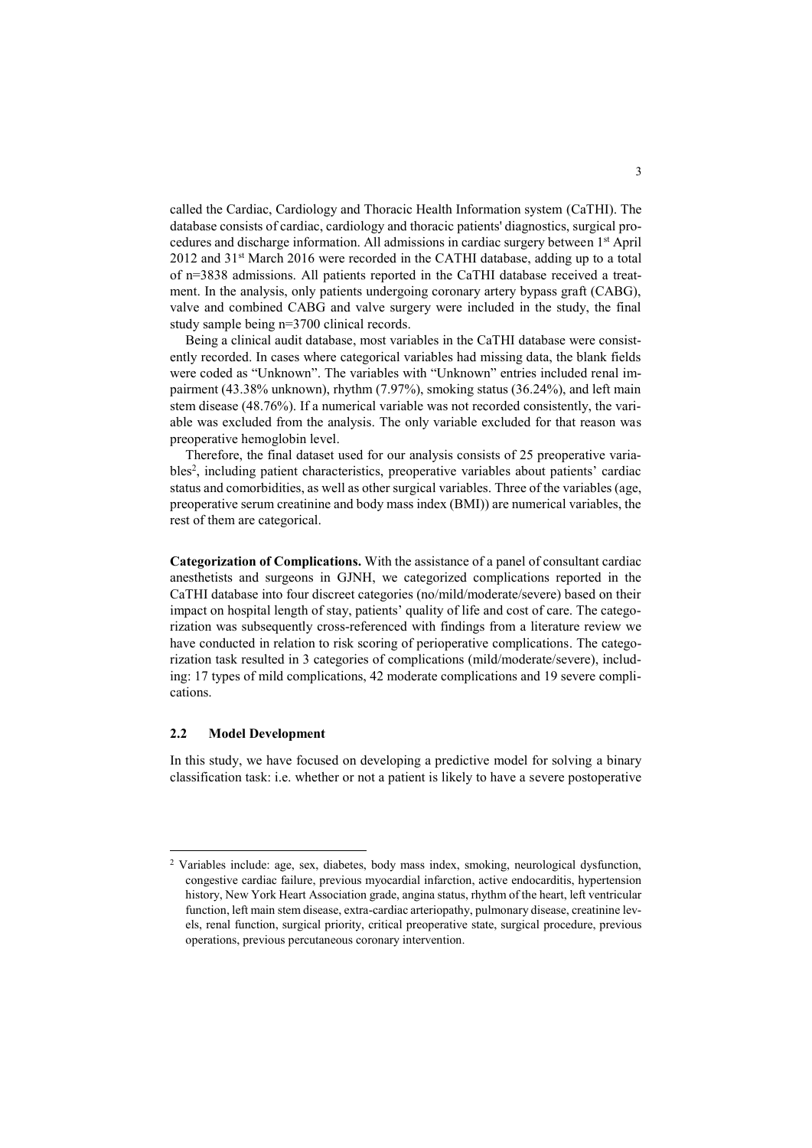called the Cardiac, Cardiology and Thoracic Health Information system (CaTHI). The database consists of cardiac, cardiology and thoracic patients' diagnostics, surgical procedures and discharge information. All admissions in cardiac surgery between 1st April 2012 and 31st March 2016 were recorded in the CATHI database, adding up to a total of n=3838 admissions. All patients reported in the CaTHI database received a treatment. In the analysis, only patients undergoing coronary artery bypass graft (CABG), valve and combined CABG and valve surgery were included in the study, the final study sample being n=3700 clinical records.

Being a clinical audit database, most variables in the CaTHI database were consistently recorded. In cases where categorical variables had missing data, the blank fields were coded as "Unknown". The variables with "Unknown" entries included renal impairment (43.38% unknown), rhythm (7.97%), smoking status (36.24%), and left main stem disease (48.76%). If a numerical variable was not recorded consistently, the variable was excluded from the analysis. The only variable excluded for that reason was preoperative hemoglobin level.

Therefore, the final dataset used for our analysis consists of 25 preoperative variables<sup>2</sup>, including patient characteristics, preoperative variables about patients' cardiac status and comorbidities, as well as other surgical variables. Three of the variables (age, preoperative serum creatinine and body mass index (BMI)) are numerical variables, the rest of them are categorical.

**Categorization of Complications.** With the assistance of a panel of consultant cardiac anesthetists and surgeons in GJNH, we categorized complications reported in the CaTHI database into four discreet categories (no/mild/moderate/severe) based on their impact on hospital length of stay, patients' quality of life and cost of care. The categorization was subsequently cross-referenced with findings from a literature review we have conducted in relation to risk scoring of perioperative complications. The categorization task resulted in 3 categories of complications (mild/moderate/severe), including: 17 types of mild complications, 42 moderate complications and 19 severe complications.

#### **2.2 Model Development**

l

In this study, we have focused on developing a predictive model for solving a binary classification task: i.e. whether or not a patient is likely to have a severe postoperative

<sup>2</sup> Variables include: age, sex, diabetes, body mass index, smoking, neurological dysfunction, congestive cardiac failure, previous myocardial infarction, active endocarditis, hypertension history, New York Heart Association grade, angina status, rhythm of the heart, left ventricular function, left main stem disease, extra-cardiac arteriopathy, pulmonary disease, creatinine levels, renal function, surgical priority, critical preoperative state, surgical procedure, previous operations, previous percutaneous coronary intervention.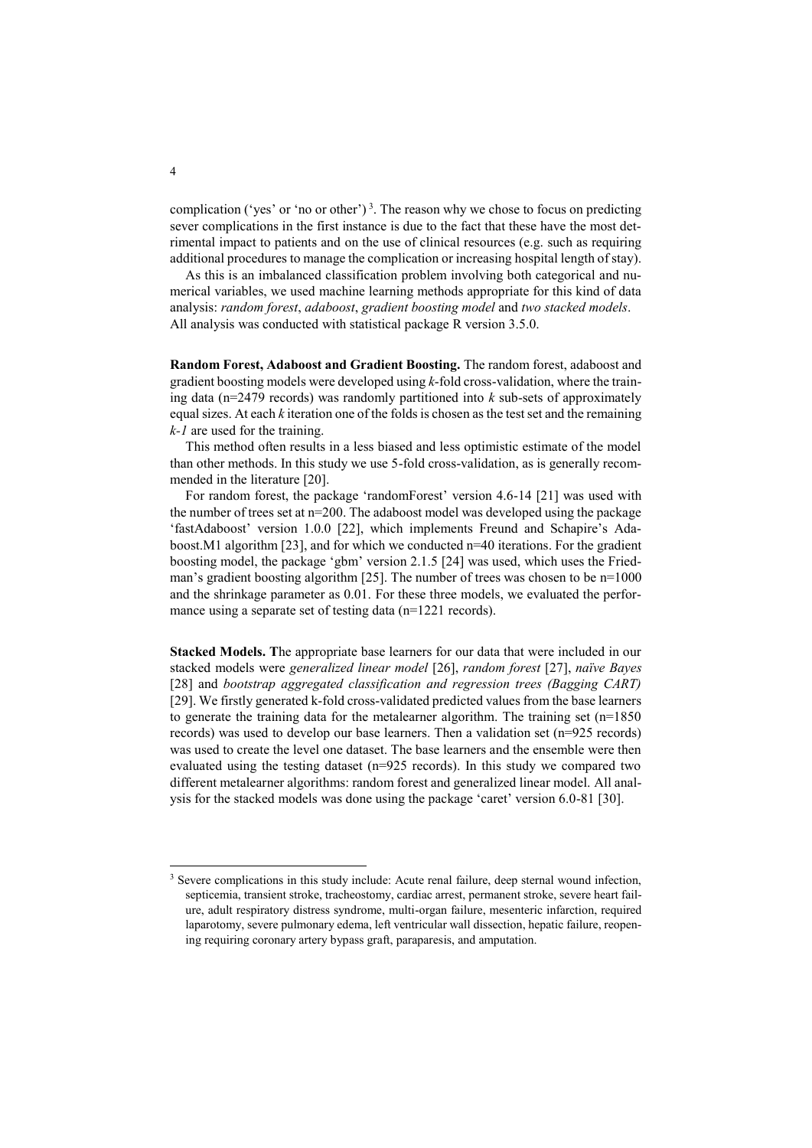complication ('yes' or 'no or other')<sup>3</sup>. The reason why we chose to focus on predicting sever complications in the first instance is due to the fact that these have the most detrimental impact to patients and on the use of clinical resources (e.g. such as requiring additional procedures to manage the complication or increasing hospital length of stay).

As this is an imbalanced classification problem involving both categorical and numerical variables, we used machine learning methods appropriate for this kind of data analysis: *random forest*, *adaboost*, *gradient boosting model* and *two stacked models*. All analysis was conducted with statistical package R version 3.5.0.

**Random Forest, Adaboost and Gradient Boosting.** The random forest, adaboost and gradient boosting models were developed using *k*-fold cross-validation, where the training data (n=2479 records) was randomly partitioned into *k* sub-sets of approximately equal sizes. At each *k* iteration one of the folds is chosen as the test set and the remaining *k-1* are used for the training.

This method often results in a less biased and less optimistic estimate of the model than other methods. In this study we use 5-fold cross-validation, as is generally recommended in the literature [20].

For random forest, the package 'randomForest' version 4.6-14 [21] was used with the number of trees set at n=200. The adaboost model was developed using the package 'fastAdaboost' version 1.0.0 [22], which implements Freund and Schapire's Adaboost.M1 algorithm [23], and for which we conducted n=40 iterations. For the gradient boosting model, the package 'gbm' version 2.1.5 [24] was used, which uses the Friedman's gradient boosting algorithm [25]. The number of trees was chosen to be n=1000 and the shrinkage parameter as 0.01. For these three models, we evaluated the performance using a separate set of testing data (n=1221 records).

**Stacked Models. T**he appropriate base learners for our data that were included in our stacked models were *generalized linear model* [26], *random forest* [27], *naïve Bayes*  [28] and *bootstrap aggregated classification and regression trees (Bagging CART)*  [29]. We firstly generated k-fold cross-validated predicted values from the base learners to generate the training data for the metalearner algorithm. The training set (n=1850 records) was used to develop our base learners. Then a validation set (n=925 records) was used to create the level one dataset. The base learners and the ensemble were then evaluated using the testing dataset (n=925 records). In this study we compared two different metalearner algorithms: random forest and generalized linear model. All analysis for the stacked models was done using the package 'caret' version 6.0-81 [30].

l

<sup>&</sup>lt;sup>3</sup> Severe complications in this study include: Acute renal failure, deep sternal wound infection, septicemia, transient stroke, tracheostomy, cardiac arrest, permanent stroke, severe heart failure, adult respiratory distress syndrome, multi-organ failure, mesenteric infarction, required laparotomy, severe pulmonary edema, left ventricular wall dissection, hepatic failure, reopening requiring coronary artery bypass graft, paraparesis, and amputation.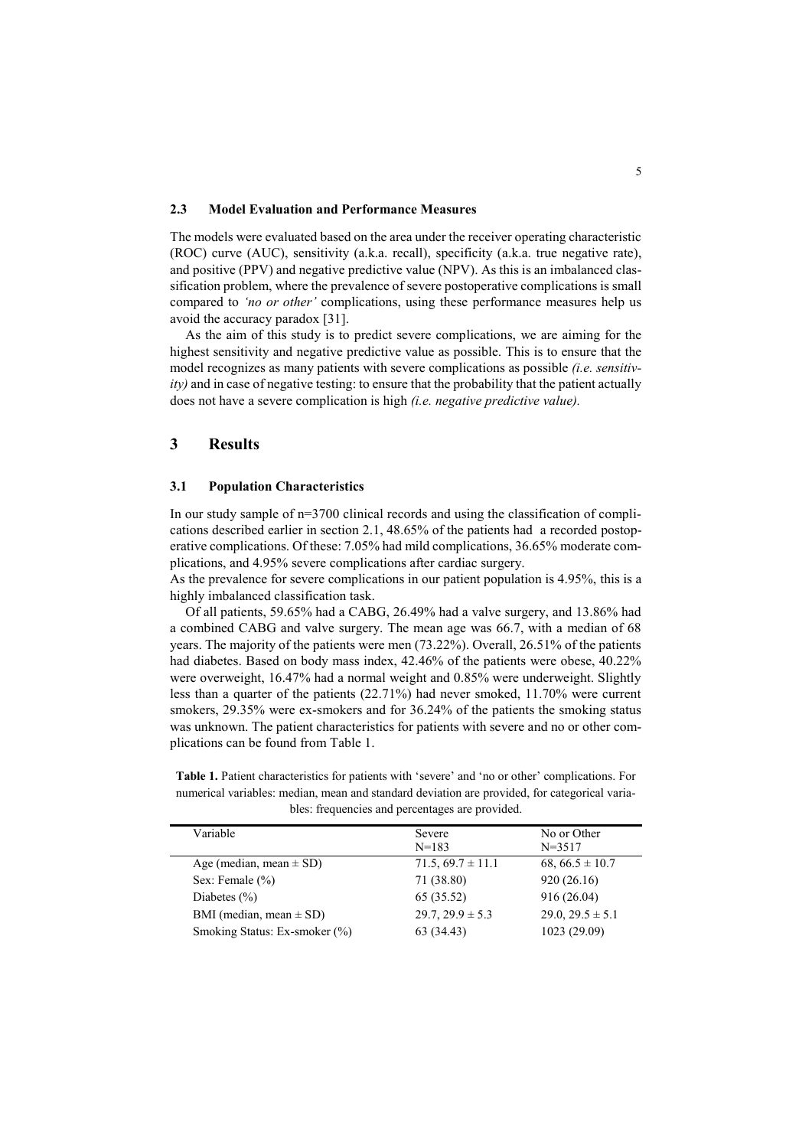#### **2.3 Model Evaluation and Performance Measures**

The models were evaluated based on the area under the receiver operating characteristic (ROC) curve (AUC), sensitivity (a.k.a. recall), specificity (a.k.a. true negative rate), and positive (PPV) and negative predictive value (NPV). As this is an imbalanced classification problem, where the prevalence of severe postoperative complications is small compared to *'no or other'* complications, using these performance measures help us avoid the accuracy paradox [31].

As the aim of this study is to predict severe complications, we are aiming for the highest sensitivity and negative predictive value as possible. This is to ensure that the model recognizes as many patients with severe complications as possible *(i.e. sensitivity)* and in case of negative testing: to ensure that the probability that the patient actually does not have a severe complication is high *(i.e. negative predictive value).*

## **3 Results**

#### **3.1 Population Characteristics**

In our study sample of n=3700 clinical records and using the classification of complications described earlier in section 2.1, 48.65% of the patients had a recorded postoperative complications. Of these: 7.05% had mild complications, 36.65% moderate complications, and 4.95% severe complications after cardiac surgery.

As the prevalence for severe complications in our patient population is 4.95%, this is a highly imbalanced classification task.

Of all patients, 59.65% had a CABG, 26.49% had a valve surgery, and 13.86% had a combined CABG and valve surgery. The mean age was 66.7, with a median of 68 years. The majority of the patients were men (73.22%). Overall, 26.51% of the patients had diabetes. Based on body mass index, 42.46% of the patients were obese, 40.22% were overweight, 16.47% had a normal weight and 0.85% were underweight. Slightly less than a quarter of the patients (22.71%) had never smoked, 11.70% were current smokers, 29.35% were ex-smokers and for 36.24% of the patients the smoking status was unknown. The patient characteristics for patients with severe and no or other complications can be found from Table 1.

**Table 1.** Patient characteristics for patients with 'severe' and 'no or other' complications. For numerical variables: median, mean and standard deviation are provided, for categorical variables: frequencies and percentages are provided.

| Variable                      | Severe               | No or Other             |
|-------------------------------|----------------------|-------------------------|
|                               | $N=183$              | $N = 3517$              |
| Age (median, mean $\pm$ SD)   | $71.5,69.7 \pm 11.1$ | 68, 66.5 $\pm$ 10.7     |
| Sex: Female $(\% )$           | 71 (38.80)           | 920(26.16)              |
| Diabetes $(\% )$              | 65 (35.52)           | 916(26.04)              |
| BMI (median, mean $\pm$ SD)   | $29.7, 29.9 \pm 5.3$ | $29.0$ , $29.5 \pm 5.1$ |
| Smoking Status: Ex-smoker (%) | 63 (34.43)           | 1023 (29.09)            |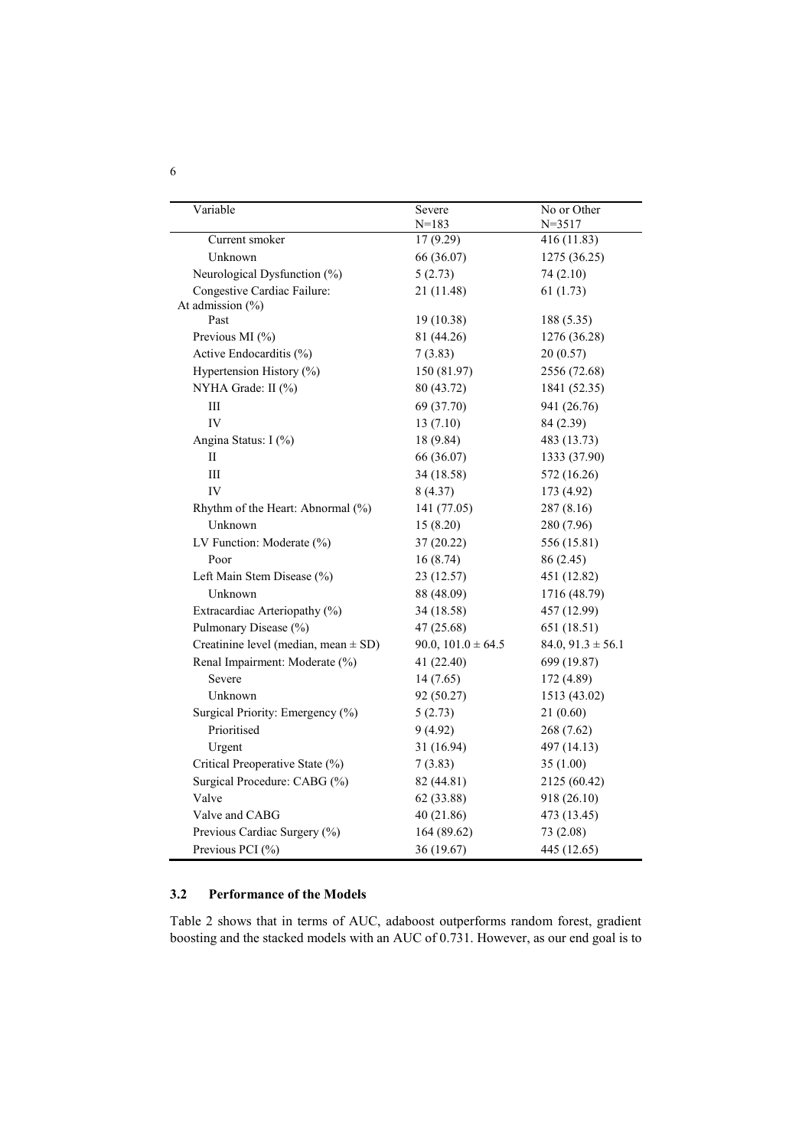| Variable                                 | Severe                 | No or Other           |  |
|------------------------------------------|------------------------|-----------------------|--|
|                                          | $N = 183$              | $N = 3517$            |  |
| Current smoker                           | 17 (9.29)              | 416 (11.83)           |  |
| Unknown                                  | 66 (36.07)             | 1275 (36.25)          |  |
| Neurological Dysfunction (%)             | 5(2.73)                | 74 (2.10)             |  |
| Congestive Cardiac Failure:              | 21 (11.48)             | 61(1.73)              |  |
| At admission (%)                         |                        |                       |  |
| Past                                     | 19 (10.38)             | 188 (5.35)            |  |
| Previous MI (%)                          | 81 (44.26)             | 1276 (36.28)          |  |
| Active Endocarditis (%)                  | 7(3.83)                | 20(0.57)              |  |
| Hypertension History (%)                 | 150 (81.97)            | 2556 (72.68)          |  |
| NYHA Grade: II (%)                       | 80 (43.72)             | 1841 (52.35)          |  |
| $\rm III$                                | 69 (37.70)             | 941 (26.76)           |  |
| IV                                       | 13(7.10)               | 84 (2.39)             |  |
| Angina Status: I (%)                     | 18 (9.84)              | 483 (13.73)           |  |
| П                                        | 66 (36.07)             | 1333 (37.90)          |  |
| $\rm III$                                | 34 (18.58)             | 572 (16.26)           |  |
| IV                                       | 8(4.37)                | 173 (4.92)            |  |
| Rhythm of the Heart: Abnormal (%)        | 141 (77.05)            | 287(8.16)             |  |
| Unknown                                  | 15(8.20)               | 280 (7.96)            |  |
| LV Function: Moderate (%)                | 37(20.22)              | 556 (15.81)           |  |
| Poor                                     | 16(8.74)               | 86 (2.45)             |  |
| Left Main Stem Disease (%)               | 23 (12.57)             | 451 (12.82)           |  |
| Unknown                                  | 88 (48.09)             | 1716 (48.79)          |  |
| Extracardiac Arteriopathy (%)            | 34 (18.58)             | 457 (12.99)           |  |
| Pulmonary Disease (%)                    | 47 (25.68)             | 651 (18.51)           |  |
| Creatinine level (median, mean $\pm$ SD) | 90.0, $101.0 \pm 64.5$ | $84.0, 91.3 \pm 56.1$ |  |
| Renal Impairment: Moderate (%)           | 41 (22.40)             | 699 (19.87)           |  |
| Severe                                   | 14(7.65)               | 172 (4.89)            |  |
| Unknown                                  | 92 (50.27)             | 1513 (43.02)          |  |
| Surgical Priority: Emergency (%)         | 5(2.73)                | 21(0.60)              |  |
| Prioritised                              | 9(4.92)                | 268 (7.62)            |  |
| Urgent                                   | 31 (16.94)             | 497 (14.13)           |  |
| Critical Preoperative State (%)          | 7(3.83)                | 35(1.00)              |  |
| Surgical Procedure: CABG (%)             | 82 (44.81)             | 2125 (60.42)          |  |
| Valve                                    | 62 (33.88)             | 918 (26.10)           |  |
| Valve and CABG                           | 40 (21.86)             | 473 (13.45)           |  |
| Previous Cardiac Surgery (%)             | 164 (89.62)            | 73 (2.08)             |  |
| Previous PCI (%)                         | 36 (19.67)             | 445 (12.65)           |  |

# **3.2 Performance of the Models**

Table 2 shows that in terms of AUC, adaboost outperforms random forest, gradient boosting and the stacked models with an AUC of 0.731. However, as our end goal is to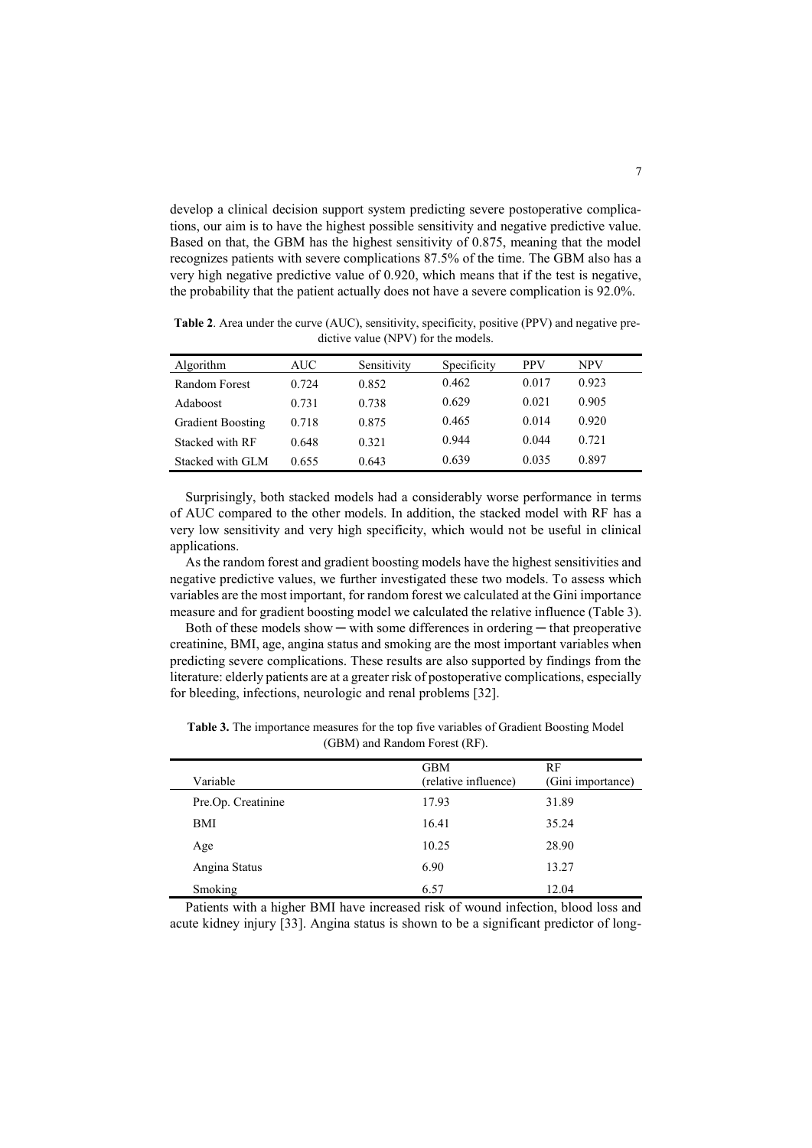develop a clinical decision support system predicting severe postoperative complications, our aim is to have the highest possible sensitivity and negative predictive value. Based on that, the GBM has the highest sensitivity of 0.875, meaning that the model recognizes patients with severe complications 87.5% of the time. The GBM also has a very high negative predictive value of 0.920, which means that if the test is negative, the probability that the patient actually does not have a severe complication is 92.0%.

**Table 2**. Area under the curve (AUC), sensitivity, specificity, positive (PPV) and negative predictive value (NPV) for the models.

| Algorithm                | AUC   | Sensitivity | Specificity | <b>PPV</b> | NPV   |
|--------------------------|-------|-------------|-------------|------------|-------|
| Random Forest            | 0.724 | 0.852       | 0.462       | 0.017      | 0.923 |
| <b>Adaboost</b>          | 0.731 | 0.738       | 0.629       | 0.021      | 0.905 |
| <b>Gradient Boosting</b> | 0.718 | 0.875       | 0.465       | 0.014      | 0.920 |
| Stacked with RF          | 0.648 | 0.321       | 0.944       | 0.044      | 0.721 |
| Stacked with GLM         | 0.655 | 0.643       | 0.639       | 0.035      | 0.897 |

Surprisingly, both stacked models had a considerably worse performance in terms of AUC compared to the other models. In addition, the stacked model with RF has a very low sensitivity and very high specificity, which would not be useful in clinical applications.

As the random forest and gradient boosting models have the highest sensitivities and negative predictive values, we further investigated these two models. To assess which variables are the most important, for random forest we calculated at the Gini importance measure and for gradient boosting model we calculated the relative influence (Table 3).

Both of these models show — with some differences in ordering — that preoperative creatinine, BMI, age, angina status and smoking are the most important variables when predicting severe complications. These results are also supported by findings from the literature: elderly patients are at a greater risk of postoperative complications, especially for bleeding, infections, neurologic and renal problems [32].

| <b>Table 3.</b> The importance measures for the top five variables of Gradient Boosting Model |
|-----------------------------------------------------------------------------------------------|
| (GBM) and Random Forest (RF).                                                                 |

| Variable           | <b>GBM</b><br>(relative influence) | RF<br>(Gini importance) |
|--------------------|------------------------------------|-------------------------|
| Pre.Op. Creatinine | 17.93                              | 31.89                   |
| BMI                | 16.41                              | 35.24                   |
| Age                | 10.25                              | 28.90                   |
| Angina Status      | 6.90                               | 13.27                   |
| Smoking            | 6.57                               | 12.04                   |

Patients with a higher BMI have increased risk of wound infection, blood loss and acute kidney injury [33]. Angina status is shown to be a significant predictor of long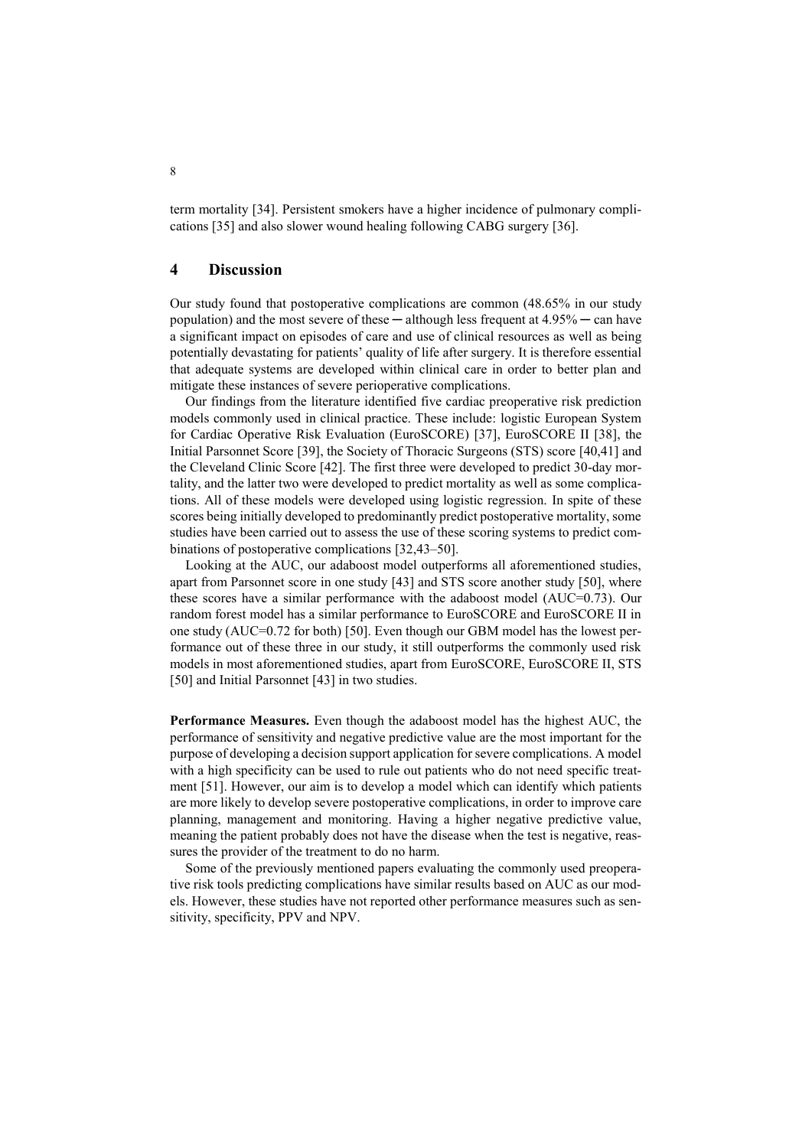term mortality [34]. Persistent smokers have a higher incidence of pulmonary complications [35] and also slower wound healing following CABG surgery [36].

### **4 Discussion**

Our study found that postoperative complications are common (48.65% in our study population) and the most severe of these  $-$  although less frequent at  $4.95\%$   $-$  can have a significant impact on episodes of care and use of clinical resources as well as being potentially devastating for patients' quality of life after surgery. It is therefore essential that adequate systems are developed within clinical care in order to better plan and mitigate these instances of severe perioperative complications.

Our findings from the literature identified five cardiac preoperative risk prediction models commonly used in clinical practice. These include: logistic European System for Cardiac Operative Risk Evaluation (EuroSCORE) [37], EuroSCORE II [38], the Initial Parsonnet Score [39], the Society of Thoracic Surgeons (STS) score [40,41] and the Cleveland Clinic Score [42]. The first three were developed to predict 30-day mortality, and the latter two were developed to predict mortality as well as some complications. All of these models were developed using logistic regression. In spite of these scores being initially developed to predominantly predict postoperative mortality, some studies have been carried out to assess the use of these scoring systems to predict combinations of postoperative complications [32,43–50].

Looking at the AUC, our adaboost model outperforms all aforementioned studies, apart from Parsonnet score in one study [43] and STS score another study [50], where these scores have a similar performance with the adaboost model (AUC=0.73). Our random forest model has a similar performance to EuroSCORE and EuroSCORE II in one study (AUC=0.72 for both) [50]. Even though our GBM model has the lowest performance out of these three in our study, it still outperforms the commonly used risk models in most aforementioned studies, apart from EuroSCORE, EuroSCORE II, STS [50] and Initial Parsonnet [43] in two studies.

**Performance Measures.** Even though the adaboost model has the highest AUC, the performance of sensitivity and negative predictive value are the most important for the purpose of developing a decision support application for severe complications. A model with a high specificity can be used to rule out patients who do not need specific treatment [51]. However, our aim is to develop a model which can identify which patients are more likely to develop severe postoperative complications, in order to improve care planning, management and monitoring. Having a higher negative predictive value, meaning the patient probably does not have the disease when the test is negative, reassures the provider of the treatment to do no harm.

Some of the previously mentioned papers evaluating the commonly used preoperative risk tools predicting complications have similar results based on AUC as our models. However, these studies have not reported other performance measures such as sensitivity, specificity, PPV and NPV.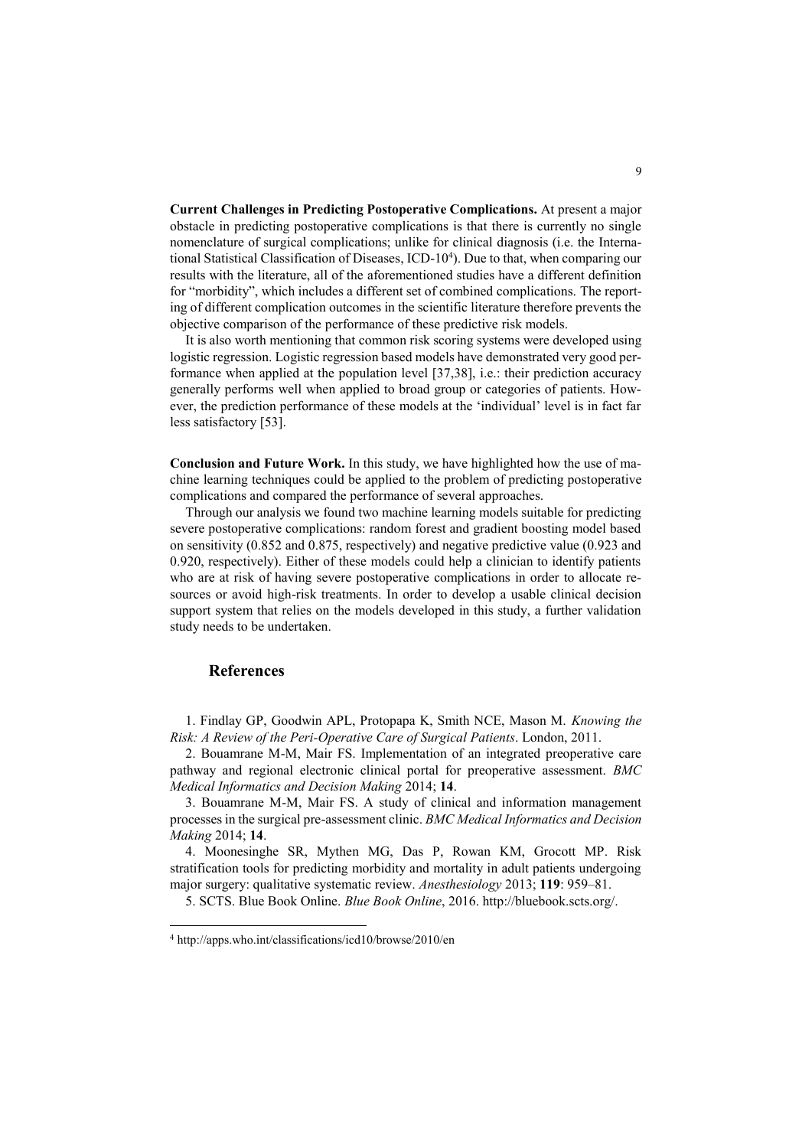**Current Challenges in Predicting Postoperative Complications.** At present a major obstacle in predicting postoperative complications is that there is currently no single nomenclature of surgical complications; unlike for clinical diagnosis (i.e. the International Statistical Classification of Diseases, ICD-10<sup>4</sup> ). Due to that, when comparing our results with the literature, all of the aforementioned studies have a different definition for "morbidity", which includes a different set of combined complications. The reporting of different complication outcomes in the scientific literature therefore prevents the objective comparison of the performance of these predictive risk models.

It is also worth mentioning that common risk scoring systems were developed using logistic regression. Logistic regression based models have demonstrated very good performance when applied at the population level [37,38], i.e.: their prediction accuracy generally performs well when applied to broad group or categories of patients. However, the prediction performance of these models at the 'individual' level is in fact far less satisfactory [53].

**Conclusion and Future Work.** In this study, we have highlighted how the use of machine learning techniques could be applied to the problem of predicting postoperative complications and compared the performance of several approaches.

Through our analysis we found two machine learning models suitable for predicting severe postoperative complications: random forest and gradient boosting model based on sensitivity (0.852 and 0.875, respectively) and negative predictive value (0.923 and 0.920, respectively). Either of these models could help a clinician to identify patients who are at risk of having severe postoperative complications in order to allocate resources or avoid high-risk treatments. In order to develop a usable clinical decision support system that relies on the models developed in this study, a further validation study needs to be undertaken.

#### **References**

 $\overline{a}$ 

1. Findlay GP, Goodwin APL, Protopapa K, Smith NCE, Mason M. *Knowing the Risk: A Review of the Peri-Operative Care of Surgical Patients*. London, 2011.

2. Bouamrane M-M, Mair FS. Implementation of an integrated preoperative care pathway and regional electronic clinical portal for preoperative assessment. *BMC Medical Informatics and Decision Making* 2014; **14**.

3. Bouamrane M-M, Mair FS. A study of clinical and information management processes in the surgical pre-assessment clinic. *BMC Medical Informatics and Decision Making* 2014; **14**.

4. Moonesinghe SR, Mythen MG, Das P, Rowan KM, Grocott MP. Risk stratification tools for predicting morbidity and mortality in adult patients undergoing major surgery: qualitative systematic review. *Anesthesiology* 2013; **119**: 959–81.

5. SCTS. Blue Book Online. *Blue Book Online*, 2016. http://bluebook.scts.org/.

<sup>4</sup> <http://apps.who.int/classifications/icd10/browse/2010/en>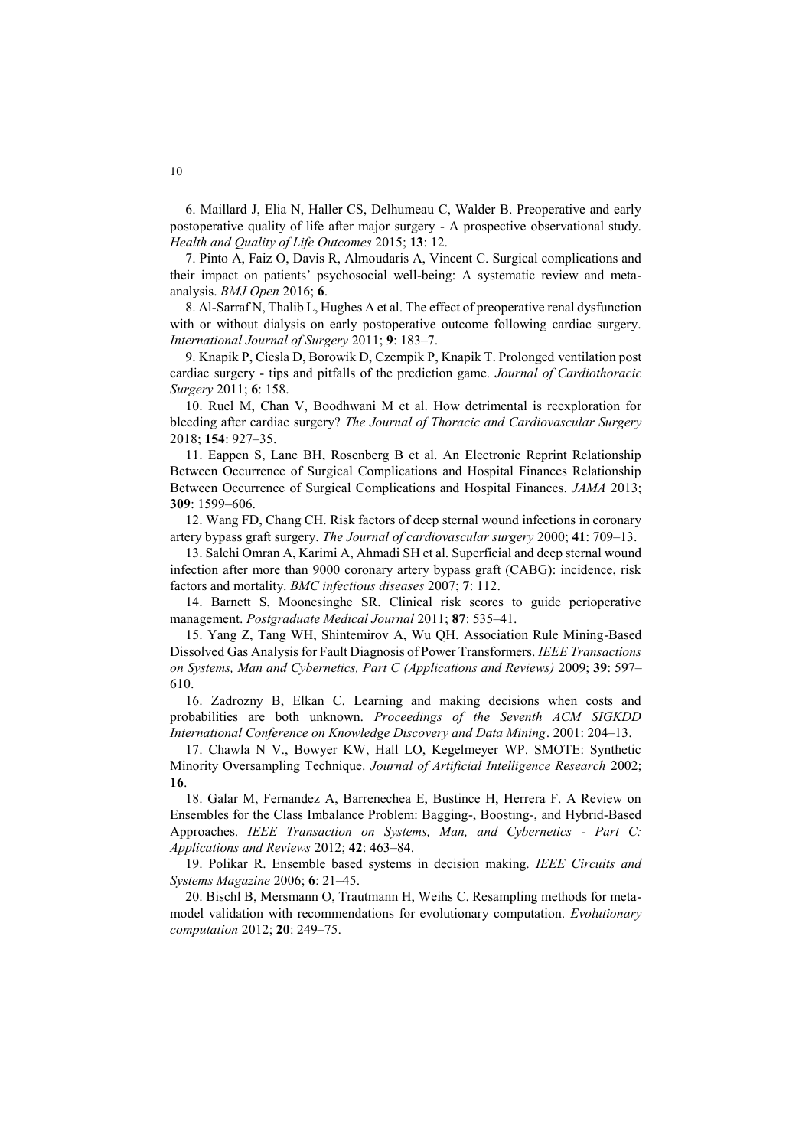6. Maillard J, Elia N, Haller CS, Delhumeau C, Walder B. Preoperative and early postoperative quality of life after major surgery - A prospective observational study. *Health and Quality of Life Outcomes* 2015; **13**: 12.

7. Pinto A, Faiz O, Davis R, Almoudaris A, Vincent C. Surgical complications and their impact on patients' psychosocial well-being: A systematic review and metaanalysis. *BMJ Open* 2016; **6**.

8. Al-Sarraf N, Thalib L, Hughes A et al. The effect of preoperative renal dysfunction with or without dialysis on early postoperative outcome following cardiac surgery. *International Journal of Surgery* 2011; **9**: 183–7.

9. Knapik P, Ciesla D, Borowik D, Czempik P, Knapik T. Prolonged ventilation post cardiac surgery - tips and pitfalls of the prediction game. *Journal of Cardiothoracic Surgery* 2011; **6**: 158.

10. Ruel M, Chan V, Boodhwani M et al. How detrimental is reexploration for bleeding after cardiac surgery? *The Journal of Thoracic and Cardiovascular Surgery* 2018; **154**: 927–35.

11. Eappen S, Lane BH, Rosenberg B et al. An Electronic Reprint Relationship Between Occurrence of Surgical Complications and Hospital Finances Relationship Between Occurrence of Surgical Complications and Hospital Finances. *JAMA* 2013; **309**: 1599–606.

12. Wang FD, Chang CH. Risk factors of deep sternal wound infections in coronary artery bypass graft surgery. *The Journal of cardiovascular surgery* 2000; **41**: 709–13.

13. Salehi Omran A, Karimi A, Ahmadi SH et al. Superficial and deep sternal wound infection after more than 9000 coronary artery bypass graft (CABG): incidence, risk factors and mortality. *BMC infectious diseases* 2007; **7**: 112.

14. Barnett S, Moonesinghe SR. Clinical risk scores to guide perioperative management. *Postgraduate Medical Journal* 2011; **87**: 535–41.

15. Yang Z, Tang WH, Shintemirov A, Wu QH. Association Rule Mining-Based Dissolved Gas Analysis for Fault Diagnosis of Power Transformers. *IEEE Transactions on Systems, Man and Cybernetics, Part C (Applications and Reviews)* 2009; **39**: 597– 610.

16. Zadrozny B, Elkan C. Learning and making decisions when costs and probabilities are both unknown. *Proceedings of the Seventh ACM SIGKDD International Conference on Knowledge Discovery and Data Mining*. 2001: 204–13.

17. Chawla N V., Bowyer KW, Hall LO, Kegelmeyer WP. SMOTE: Synthetic Minority Oversampling Technique. *Journal of Artificial Intelligence Research* 2002; **16**.

18. Galar M, Fernandez A, Barrenechea E, Bustince H, Herrera F. A Review on Ensembles for the Class Imbalance Problem: Bagging-, Boosting-, and Hybrid-Based Approaches. *IEEE Transaction on Systems, Man, and Cybernetics - Part C: Applications and Reviews* 2012; **42**: 463–84.

19. Polikar R. Ensemble based systems in decision making. *IEEE Circuits and Systems Magazine* 2006; **6**: 21–45.

20. Bischl B, Mersmann O, Trautmann H, Weihs C. Resampling methods for metamodel validation with recommendations for evolutionary computation. *Evolutionary computation* 2012; **20**: 249–75.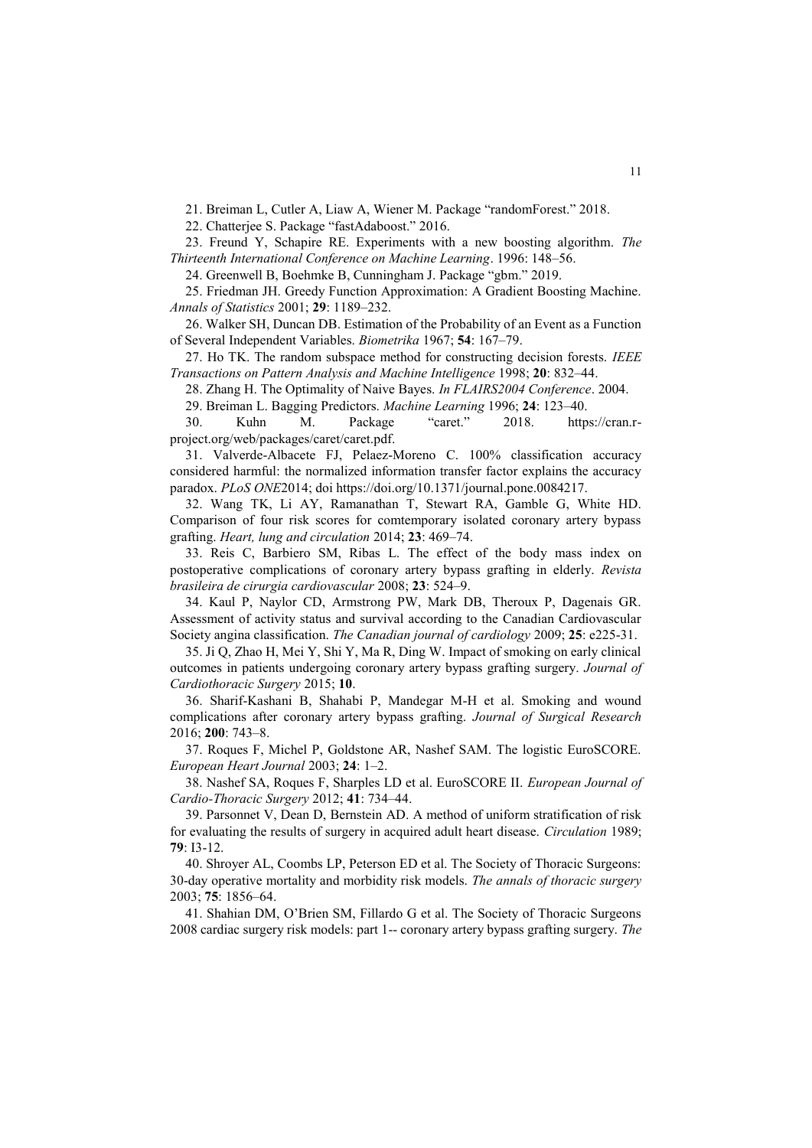21. Breiman L, Cutler A, Liaw A, Wiener M. Package "randomForest." 2018.

22. Chatterjee S. Package "fastAdaboost." 2016.

23. Freund Y, Schapire RE. Experiments with a new boosting algorithm. *The Thirteenth International Conference on Machine Learning*. 1996: 148–56.

24. Greenwell B, Boehmke B, Cunningham J. Package "gbm." 2019.

25. Friedman JH. Greedy Function Approximation: A Gradient Boosting Machine. *Annals of Statistics* 2001; **29**: 1189–232.

26. Walker SH, Duncan DB. Estimation of the Probability of an Event as a Function of Several Independent Variables. *Biometrika* 1967; **54**: 167–79.

27. Ho TK. The random subspace method for constructing decision forests. *IEEE Transactions on Pattern Analysis and Machine Intelligence* 1998; **20**: 832–44.

28. Zhang H. The Optimality of Naive Bayes. *In FLAIRS2004 Conference*. 2004.

29. Breiman L. Bagging Predictors. *Machine Learning* 1996; **24**: 123–40.

30. Kuhn M. Package "caret." 2018. https://cran.rproject.org/web/packages/caret/caret.pdf.

31. Valverde-Albacete FJ, Pelaez-Moreno C. 100% classification accuracy considered harmful: the normalized information transfer factor explains the accuracy paradox. *PLoS ONE*2014; doi https://doi.org/10.1371/journal.pone.0084217.

32. Wang TK, Li AY, Ramanathan T, Stewart RA, Gamble G, White HD. Comparison of four risk scores for comtemporary isolated coronary artery bypass grafting. *Heart, lung and circulation* 2014; **23**: 469–74.

33. Reis C, Barbiero SM, Ribas L. The effect of the body mass index on postoperative complications of coronary artery bypass grafting in elderly. *Revista brasileira de cirurgia cardiovascular* 2008; **23**: 524–9.

34. Kaul P, Naylor CD, Armstrong PW, Mark DB, Theroux P, Dagenais GR. Assessment of activity status and survival according to the Canadian Cardiovascular Society angina classification. *The Canadian journal of cardiology* 2009; **25**: e225-31.

35. Ji Q, Zhao H, Mei Y, Shi Y, Ma R, Ding W. Impact of smoking on early clinical outcomes in patients undergoing coronary artery bypass grafting surgery. *Journal of Cardiothoracic Surgery* 2015; **10**.

36. Sharif-Kashani B, Shahabi P, Mandegar M-H et al. Smoking and wound complications after coronary artery bypass grafting. *Journal of Surgical Research* 2016; **200**: 743–8.

37. Roques F, Michel P, Goldstone AR, Nashef SAM. The logistic EuroSCORE. *European Heart Journal* 2003; **24**: 1–2.

38. Nashef SA, Roques F, Sharples LD et al. EuroSCORE II. *European Journal of Cardio-Thoracic Surgery* 2012; **41**: 734–44.

39. Parsonnet V, Dean D, Bernstein AD. A method of uniform stratification of risk for evaluating the results of surgery in acquired adult heart disease. *Circulation* 1989; **79**: I3-12.

40. Shroyer AL, Coombs LP, Peterson ED et al. The Society of Thoracic Surgeons: 30-day operative mortality and morbidity risk models. *The annals of thoracic surgery* 2003; **75**: 1856–64.

41. Shahian DM, O'Brien SM, Fillardo G et al. The Society of Thoracic Surgeons 2008 cardiac surgery risk models: part 1-- coronary artery bypass grafting surgery. *The*